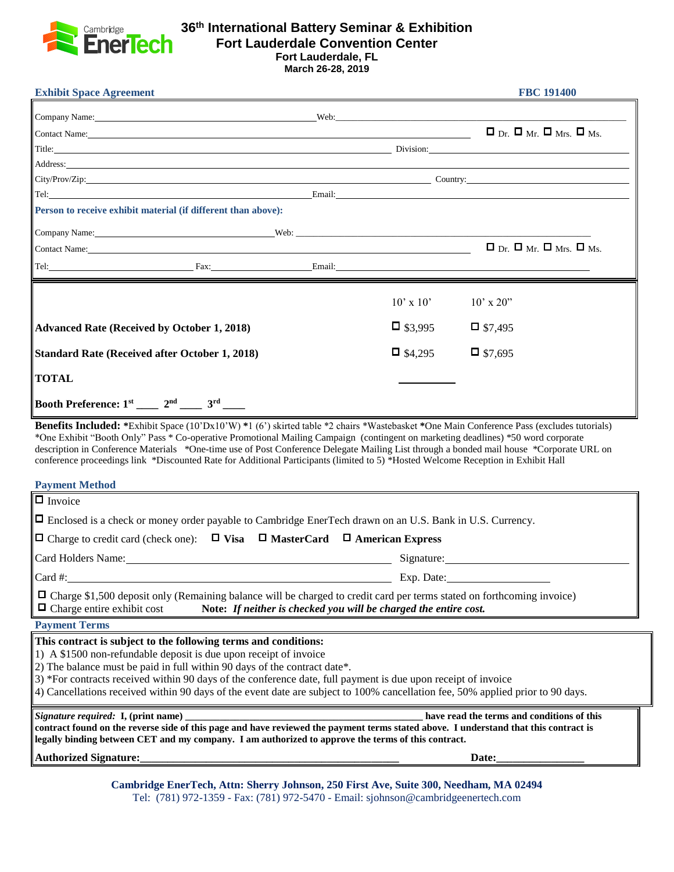

## **36 th International Battery Seminar & Exhibition Fort Lauderdale Convention Center Fort Lauderdale, FL**

**March 26-28, 2019**

| <b>Exhibit Space Agreement</b>                                                                                                                                                                                                                                                                                                                                                                                                                                                                                                                                  | <b>FBC 191400</b>                                                                                                                                                                                                              |
|-----------------------------------------------------------------------------------------------------------------------------------------------------------------------------------------------------------------------------------------------------------------------------------------------------------------------------------------------------------------------------------------------------------------------------------------------------------------------------------------------------------------------------------------------------------------|--------------------------------------------------------------------------------------------------------------------------------------------------------------------------------------------------------------------------------|
| Company Name: Web: Web:                                                                                                                                                                                                                                                                                                                                                                                                                                                                                                                                         |                                                                                                                                                                                                                                |
| Contact Name: <u>Contact Name</u>                                                                                                                                                                                                                                                                                                                                                                                                                                                                                                                               | $\Box$ Dr. $\Box$ Mr. $\Box$ Mrs. $\Box$ Ms.                                                                                                                                                                                   |
|                                                                                                                                                                                                                                                                                                                                                                                                                                                                                                                                                                 | Title: Division: Division: Division: Division: Division: Division: Division: Division: Division: Division: Division: Division: Division: Division: Division: Division: Division: Division: Division: Division: Division: Divis |
| Address: https://www.archive.com/communications/communications/communications/communications/communications/communications/communications/communications/communications/communications/communications/communications/communica                                                                                                                                                                                                                                                                                                                                  |                                                                                                                                                                                                                                |
|                                                                                                                                                                                                                                                                                                                                                                                                                                                                                                                                                                 |                                                                                                                                                                                                                                |
| Tel: Email: Email: Email: Email: Email: Email: Email: Email: Email: Email: Email: Email: Email: Email: Email: Email: Email: Email: Email: Email: Email: Email: Email: Email: Email: Email: Email: Email: Email: Email: Email:                                                                                                                                                                                                                                                                                                                                   |                                                                                                                                                                                                                                |
| Person to receive exhibit material (if different than above):                                                                                                                                                                                                                                                                                                                                                                                                                                                                                                   |                                                                                                                                                                                                                                |
| Company Name: <u>Company Name:</u> Company Name: Company Name: Company Name: Company Name: Company Name: Company Name: Company Name: Company Name: Company Name: Company Name: Company Name: Company Name: Company Name: Company Na                                                                                                                                                                                                                                                                                                                             |                                                                                                                                                                                                                                |
| Contact Name: Name: Name: Name: Name: Name: Name: Name: Name: Name: Name: Name: Name: Name: Name: Name: Name: Name: Name: Name: Name: Name: Name: Name: Name: Name: Name: Name: Name: Name: Name: Name: Name: Name: Name: Name                                                                                                                                                                                                                                                                                                                                  | $\Box$ Dr. $\Box$ Mr. $\Box$ Mrs. $\Box$ Ms.                                                                                                                                                                                   |
| Tel: Fax: Fax: Email: Email: Email: Email: Email: Email: Email: Email: Email: Email: Email: Email: Email: Email: Email: Email: Email: Email: Email: Email: Email: Email: Email: Email: Email: Email: Email: Email: Email: Emai                                                                                                                                                                                                                                                                                                                                  |                                                                                                                                                                                                                                |
|                                                                                                                                                                                                                                                                                                                                                                                                                                                                                                                                                                 | $10' \times 10'$<br>$10' \times 20''$                                                                                                                                                                                          |
| <b>Advanced Rate (Received by October 1, 2018)</b>                                                                                                                                                                                                                                                                                                                                                                                                                                                                                                              | $\Box$ \$3,995<br>$\Box$ \$7,495                                                                                                                                                                                               |
| <b>Standard Rate (Received after October 1, 2018)</b>                                                                                                                                                                                                                                                                                                                                                                                                                                                                                                           | $\Box$ \$7.695<br>$\Box$ \$4,295                                                                                                                                                                                               |
| <b>TOTAL</b>                                                                                                                                                                                                                                                                                                                                                                                                                                                                                                                                                    |                                                                                                                                                                                                                                |
| Booth Preference: $1^{st}$ ____ $2^{nd}$ ____ $3^{rd}$ ____                                                                                                                                                                                                                                                                                                                                                                                                                                                                                                     |                                                                                                                                                                                                                                |
| Benefits Included: *Exhibit Space (10'Dx10'W) *1 (6') skirted table *2 chairs *Wastebasket *One Main Conference Pass (excludes tutorials)<br>*One Exhibit "Booth Only" Pass * Co-operative Promotional Mailing Campaign (contingent on marketing deadlines) *50 word corporate<br>description in Conference Materials *One-time use of Post Conference Delegate Mailing List through a bonded mail house *Corporate URL on<br>conference proceedings link *Discounted Rate for Additional Participants (limited to 5) *Hosted Welcome Reception in Exhibit Hall |                                                                                                                                                                                                                                |
| <b>Payment Method</b>                                                                                                                                                                                                                                                                                                                                                                                                                                                                                                                                           |                                                                                                                                                                                                                                |
| $\overline{\Box}$ Invoice                                                                                                                                                                                                                                                                                                                                                                                                                                                                                                                                       |                                                                                                                                                                                                                                |
| $\Box$ Enclosed is a check or money order payable to Cambridge EnerTech drawn on an U.S. Bank in U.S. Currency.                                                                                                                                                                                                                                                                                                                                                                                                                                                 |                                                                                                                                                                                                                                |
| $\Box$ Charge to credit card (check one): $\Box$ Visa $\Box$ MasterCard $\Box$ American Express                                                                                                                                                                                                                                                                                                                                                                                                                                                                 |                                                                                                                                                                                                                                |
| Card Holders Name: Name and Allen Card Holders Name and Allen Card Holders Name and Allen Card Allen Card Allen Card Allen Card Allen Card Allen Card Allen Card Allen Card Allen Card Allen Card Allen Card Allen Card Allen                                                                                                                                                                                                                                                                                                                                   | Signature:                                                                                                                                                                                                                     |
| Card #:                                                                                                                                                                                                                                                                                                                                                                                                                                                                                                                                                         | Exp. Date:                                                                                                                                                                                                                     |
| □ Charge \$1,500 deposit only (Remaining balance will be charged to credit card per terms stated on forthcoming invoice)<br>$\Box$ Charge entire exhibit cost                                                                                                                                                                                                                                                                                                                                                                                                   | Note: If neither is checked you will be charged the entire cost.                                                                                                                                                               |
| <b>Payment Terms</b>                                                                                                                                                                                                                                                                                                                                                                                                                                                                                                                                            |                                                                                                                                                                                                                                |
| This contract is subject to the following terms and conditions:<br>1) A \$1500 non-refundable deposit is due upon receipt of invoice<br>2) The balance must be paid in full within 90 days of the contract date*.<br>3) *For contracts received within 90 days of the conference date, full payment is due upon receipt of invoice<br>4) Cancellations received within 90 days of the event date are subject to 100% cancellation fee, 50% applied prior to 90 days.                                                                                            |                                                                                                                                                                                                                                |
| Signature required: I, (print name)<br>have read the terms and conditions of this<br>contract found on the reverse side of this page and have reviewed the payment terms stated above. I understand that this contract is<br>legally binding between CET and my company. I am authorized to approve the terms of this contract.                                                                                                                                                                                                                                 |                                                                                                                                                                                                                                |
|                                                                                                                                                                                                                                                                                                                                                                                                                                                                                                                                                                 |                                                                                                                                                                                                                                |
|                                                                                                                                                                                                                                                                                                                                                                                                                                                                                                                                                                 |                                                                                                                                                                                                                                |

**Cambridge EnerTech, Attn: Sherry Johnson, 250 First Ave, Suite 300, Needham, MA 02494** Tel: (781) 972-1359 - Fax: (781) 972-5470 - Email: sjohnson@cambridgeenertech.com